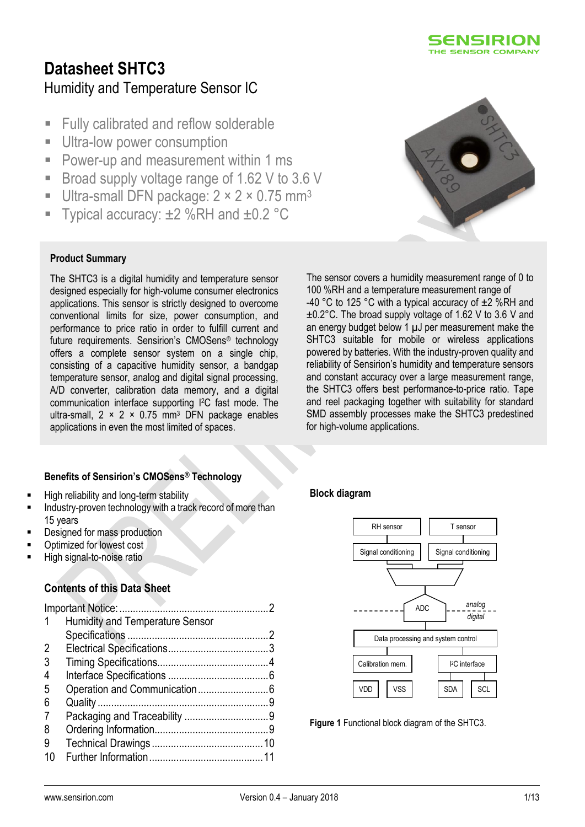

# **Datasheet SHTC3** Humidity and Temperature Sensor IC

- **Fully calibrated and reflow solderable**
- **Ultra-low power consumption**
- **Power-up and measurement within 1 ms**
- Broad supply voltage range of 1.62 V to 3.6 V
- Ultra-small DFN package: 2 × 2 × 0.75 mm<sup>3</sup>
- Typical accuracy:  $\pm 2$  %RH and  $\pm 0.2$  °C

#### **Product Summary**

The SHTC3 is a digital humidity and temperature sensor designed especially for high-volume consumer electronics applications. This sensor is strictly designed to overcome conventional limits for size, power consumption, and performance to price ratio in order to fulfill current and future requirements. Sensirion's CMOSens® technology offers a complete sensor system on a single chip, consisting of a capacitive humidity sensor, a bandgap temperature sensor, analog and digital signal processing, A/D converter, calibration data memory, and a digital communication interface supporting I <sup>2</sup>C fast mode. The ultra-small,  $2 \times 2 \times 0.75$  mm<sup>3</sup> DFN package enables applications in even the most limited of spaces.

#### **Benefits of Sensirion's CMOSens® Technology**

- **High reliability and long-term stability**
- Industry-proven technology with a track record of more than 15 years
- Designed for mass production
- Optimized for lowest cost
- High signal-to-noise ratio

#### **Contents of this Data Sheet**

| $\mathbf{1}$ | <b>Humidity and Temperature Sensor</b> |  |
|--------------|----------------------------------------|--|
|              |                                        |  |
| 2            |                                        |  |
| 3            |                                        |  |
| 4            |                                        |  |
| 5            |                                        |  |
| 6            |                                        |  |
| 7            |                                        |  |
| 8            |                                        |  |
| 9            |                                        |  |
|              |                                        |  |
|              |                                        |  |



The sensor covers a humidity measurement range of 0 to 100 %RH and a temperature measurement range of -40 °C to 125 °C with a typical accuracy of  $\pm$ 2 %RH and ±0.2°C. The broad supply voltage of 1.62 V to 3.6 V and an energy budget below 1  $\mu$ J per measurement make the SHTC3 suitable for mobile or wireless applications powered by batteries. With the industry-proven quality and reliability of Sensirion's humidity and temperature sensors and constant accuracy over a large measurement range, the SHTC3 offers best performance-to-price ratio. Tape and reel packaging together with suitability for standard SMD assembly processes make the SHTC3 predestined for high-volume applications.

#### **Block diagram**



**Figure 1** Functional block diagram of the SHTC3.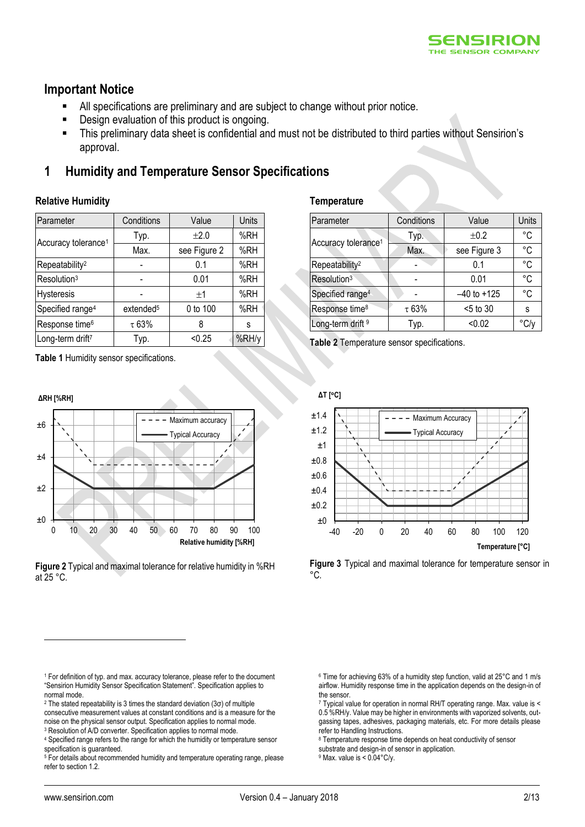

### <span id="page-1-0"></span>**Important Notice**

- All specifications are preliminary and are subject to change without prior notice.
- Design evaluation of this product is ongoing.
- This preliminary data sheet is confidential and must not be distributed to third parties without Sensirion's approval.

### <span id="page-1-1"></span>**1 Humidity and Temperature Sensor Specifications**

#### **Relative Humidity**

<span id="page-1-5"></span><span id="page-1-4"></span>

| Parameter                       | Conditions            | Value        | Units |
|---------------------------------|-----------------------|--------------|-------|
|                                 | Typ.                  | $\pm 2.0$    | %RH   |
| Accuracy tolerance <sup>1</sup> | Max.                  | see Figure 2 | %RH   |
| Repeatability <sup>2</sup>      |                       | 0.1          | %RH   |
| Resolution <sup>3</sup>         |                       | 0.01         | %RH   |
| <b>Hysteresis</b>               |                       | ±1           | %RH   |
| Specified range <sup>4</sup>    | extended <sup>5</sup> | 0 to 100     | %RH   |
| Response time <sup>6</sup>      | $\tau$ 63%            | 8            | S     |
| Long-term drift <sup>7</sup>    | Typ.                  | < 0.25       | %RH/y |

<span id="page-1-6"></span>**Table 1** Humidity sensor specifications.



<span id="page-1-2"></span>**Figure 2** Typical and maximal tolerance for relative humidity in %RH at 25 °C.

#### <sup>1</sup> For definition of typ. and max. accuracy tolerance, please refer to the document "Sensirion Humidity Sensor Specification Statement". Specification applies to normal mode.

<sup>2</sup> The stated repeatability is 3 times the standard deviation (3 $\sigma$ ) of multiple consecutive measurement values at constant conditions and is a measure for the noise on the physical sensor output. Specification applies to normal mode.

<sup>3</sup> Resolution of A/D converter. Specification applies to normal mode.

#### **Temperature**

| Parameter                       | Conditions | Value           | Units         |
|---------------------------------|------------|-----------------|---------------|
|                                 | Typ.       | ±0.2            | °C            |
| Accuracy tolerance <sup>1</sup> | Max.       | see Figure 3    | °C            |
| Repeatability <sup>2</sup>      |            | 0.1             | °C            |
| Resolution <sup>3</sup>         |            | 0.01            | °C            |
| Specified range <sup>4</sup>    |            | $-40$ to $+125$ | °C            |
| Response time <sup>8</sup>      | $\tau$ 63% | $<$ 5 to 30     | s             |
| Long-term drift <sup>9</sup>    | Typ.       | < 0.02          | $^{\circ}$ C/ |

**Table 2** Temperature sensor specifications.

**ΔT [C]**



<span id="page-1-3"></span>**Figure 3** Typical and maximal tolerance for temperature sensor in °C.

<sup>6</sup> Time for achieving 63% of a humidity step function, valid at 25°C and 1 m/s airflow. Humidity response time in the application depends on the design-in of the sensor.

<sup>7</sup> Typical value for operation in normal RH/T operating range. Max. value is < 0.5 %RH/y. Value may be higher in environments with vaporized solvents, outgassing tapes, adhesives, packaging materials, etc. For more details please refer to Handling Instructions.

<sup>8</sup> Temperature response time depends on heat conductivity of sensor

substrate and design-in of sensor in application.

<sup>9</sup> Max. value is < 0.04°C/y.

<sup>4</sup> Specified range refers to the range for which the humidity or temperature sensor specification is guaranteed.

<sup>&</sup>lt;sup>5</sup> For details about recommended humidity and temperature operating range, please refer to section 1.2.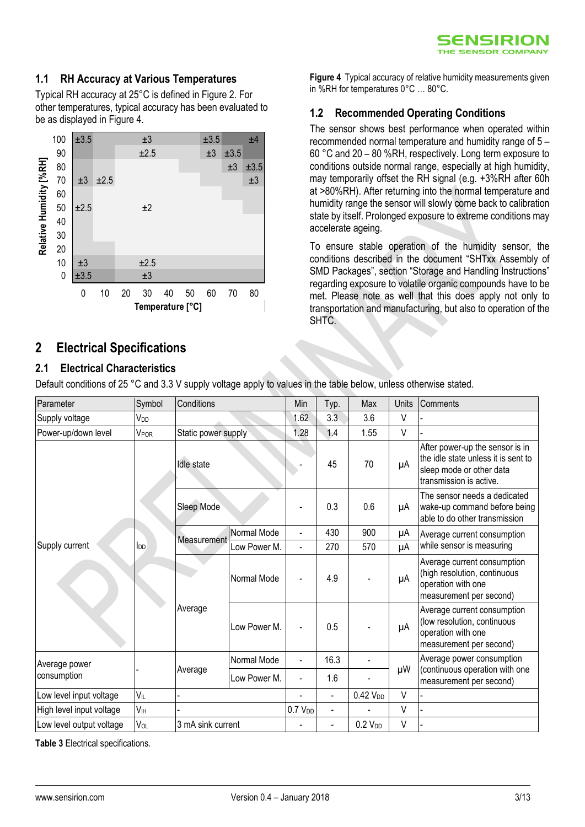#### **1.1 RH Accuracy at Various Temperatures**

Typical RH accuracy at 25°C is defined in Figure 2. For other temperatures, typical accuracy has been evaluated to be as displayed i[n Figure 4.](#page-2-1)



### <span id="page-2-0"></span>**2 Electrical Specifications**

#### **2.1 Electrical Characteristics**

Default conditions of 25 °C and 3.3 V supply voltage apply to values in the table below, unless otherwise stated.

| Parameter                | Symbol          | Conditions          |              | Min                 | Typ.             | Max                 | Units | <b>Comments</b>                                                                                                               |
|--------------------------|-----------------|---------------------|--------------|---------------------|------------------|---------------------|-------|-------------------------------------------------------------------------------------------------------------------------------|
| Supply voltage           | V <sub>DD</sub> |                     |              | 1.62                | 3.3 <sub>2</sub> | 3.6                 | V     |                                                                                                                               |
| Power-up/down level      | VPOR            | Static power supply |              | 1.28                | 1.4              | 1.55                | V     |                                                                                                                               |
|                          | l <sub>DD</sub> | Idle state          |              |                     | 45               | 70                  | μA    | After power-up the sensor is in<br>the idle state unless it is sent to<br>sleep mode or other data<br>transmission is active. |
|                          |                 | Sleep Mode          |              |                     | 0.3              | 0.6                 | μA    | The sensor needs a dedicated<br>wake-up command before being<br>able to do other transmission                                 |
|                          |                 |                     | Normal Mode  |                     | 430              | 900                 | μΑ    | Average current consumption                                                                                                   |
| Supply current           |                 | Measurement         | Low Power M. | $\blacksquare$      | 270              | 570                 | μA    | while sensor is measuring                                                                                                     |
|                          |                 | Average             | Normal Mode  | $\blacksquare$      | 4.9              |                     | μA    | Average current consumption<br>(high resolution, continuous<br>operation with one<br>measurement per second)                  |
|                          |                 |                     | Low Power M. |                     | 0.5              |                     | μA    | Average current consumption<br>(low resolution, continuous<br>operation with one<br>measurement per second)                   |
| Average power            |                 |                     | Normal Mode  | ۰                   | 16.3             |                     |       | Average power consumption                                                                                                     |
| consumption              |                 | Average             | Low Power M. | $\blacksquare$      | 1.6              |                     | μW    | (continuous operation with one<br>measurement per second)                                                                     |
| Low level input voltage  | VIL             |                     |              | $\blacksquare$      | $\frac{1}{2}$    | $0.42$ $VDD$        | V     |                                                                                                                               |
| High level input voltage | V <sub>IH</sub> |                     |              | 0.7 V <sub>DD</sub> | $\blacksquare$   |                     | V     |                                                                                                                               |
| Low level output voltage | VOL             | 3 mA sink current   |              |                     | $\frac{1}{2}$    | 0.2 V <sub>DD</sub> | V     |                                                                                                                               |

<span id="page-2-2"></span>**Table 3** Electrical specifications.

**Figure 4** Typical accuracy of relative humidity measurements given in %RH for temperatures 0°C … 80°C.

### <span id="page-2-1"></span>**1.2 Recommended Operating Conditions**

The sensor shows best performance when operated within recommended normal temperature and humidity range of 5 – 60 °C and 20 – 80 %RH, respectively. Long term exposure to conditions outside normal range, especially at high humidity, may temporarily offset the RH signal (e.g. +3%RH after 60h at >80%RH). After returning into the normal temperature and humidity range the sensor will slowly come back to calibration state by itself. Prolonged exposure to extreme conditions may accelerate ageing.

To ensure stable operation of the humidity sensor, the conditions described in the document "SHTxx Assembly of SMD Packages", section "Storage and Handling Instructions" regarding exposure to volatile organic compounds have to be met. Please note as well that this does apply not only to transportation and manufacturing, but also to operation of the SHTC.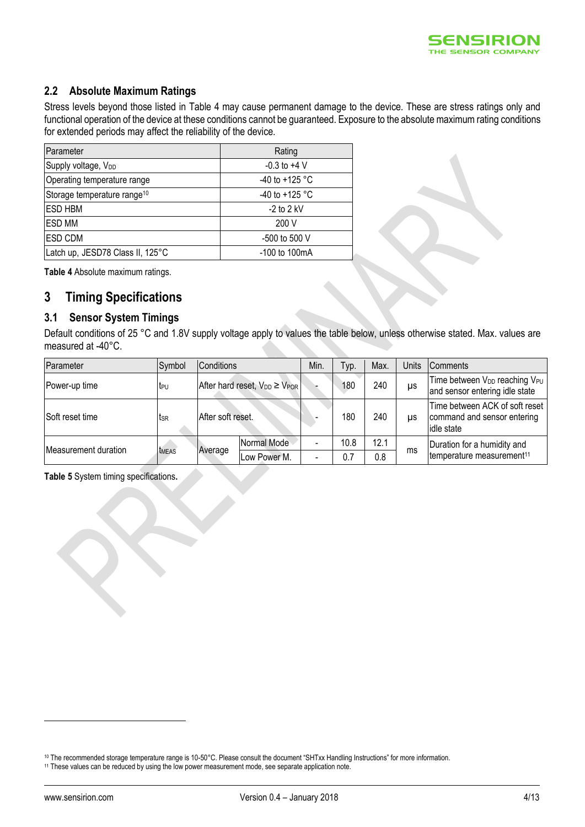

#### **2.2 Absolute Maximum Ratings**

Stress levels beyond those listed in [Table 4](#page-3-1) may cause permanent damage to the device. These are stress ratings only and functional operation of the device at these conditions cannot be guaranteed. Exposure to the absolute maximum rating conditions for extended periods may affect the reliability of the device.

| Parameter                               | Rating                   |
|-----------------------------------------|--------------------------|
| Supply voltage, V <sub>DD</sub>         | $-0.3$ to $+4$ V         |
| Operating temperature range             | -40 to +125 $^{\circ}$ C |
| Storage temperature range <sup>10</sup> | $-40$ to $+125$ °C       |
| <b>ESD HBM</b>                          | $-2$ to 2 kV             |
| <b>ESD MM</b>                           | 200 V                    |
| <b>ESD CDM</b>                          | -500 to 500 V            |
| Latch up, JESD78 Class II, 125°C        | -100 to 100mA            |

<span id="page-3-1"></span>**Table 4** Absolute maximum ratings.

### <span id="page-3-0"></span>**3 Timing Specifications**

#### **3.1 Sensor System Timings**

Default conditions of 25 °C and 1.8V supply voltage apply to values the table below, unless otherwise stated. Max. values are measured at -40°C.

| Parameter            | Symbol       | Conditions                              |              |                          | yp.  | Max. | Units | <b>Comments</b>                                                                         |                             |
|----------------------|--------------|-----------------------------------------|--------------|--------------------------|------|------|-------|-----------------------------------------------------------------------------------------|-----------------------------|
| Power-up time        | teu          | After hard reset, $V_{DD} \geq V_{POR}$ |              |                          | 180  | 240  | μs    | Time between V <sub>DD</sub> reaching V <sub>PU</sub><br>and sensor entering idle state |                             |
| Soft reset time      | tsr          | After soft reset.                       |              |                          | 180  | 240  | US    | Time between ACK of soft reset<br>command and sensor entering<br>idle state             |                             |
|                      | <b>TMEAS</b> | Average                                 | Normal Mode  |                          | 10.8 | 12.1 |       |                                                                                         | Duration for a humidity and |
| Measurement duration |              |                                         | Low Power M. | $\overline{\phantom{0}}$ | 0.7  | 0.8  | ms    | temperature measurement <sup>11</sup>                                                   |                             |

<span id="page-3-2"></span>**Table 5** System timing specifications**.**

<sup>10</sup> The recommended storage temperature range is 10-50°C. Please consult the document "SHTxx Handling Instructions" for more information.

<sup>11</sup> These values can be reduced by using the low power measurement mode, see separate application note.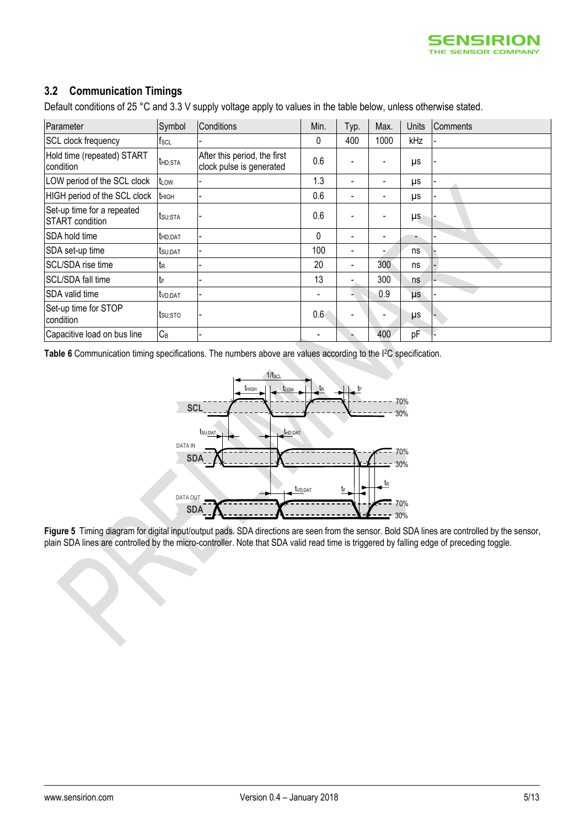

#### **3.2 Communication Timings**

Default conditions of 25 °C and 3.3 V supply voltage apply to values in the table below, unless otherwise stated.

| Parameter                                            | Symbol               | Conditions                                               | Min.                         | Typ.                     | Max. | Units   | Comments |
|------------------------------------------------------|----------------------|----------------------------------------------------------|------------------------------|--------------------------|------|---------|----------|
| SCL clock frequency                                  | fscl                 |                                                          | 0                            | 400                      | 1000 | kHz     |          |
| Hold time (repeated) START<br>condition              | <b>t</b> HD;STA      | After this period, the first<br>clock pulse is generated | 0.6                          | $\blacksquare$           |      | μs      |          |
| LOW period of the SCL clock                          | t <sub>LOW</sub>     |                                                          | 1.3                          | $\blacksquare$           |      | μs      |          |
| HIGH period of the SCL clock                         | t <sub>HIGH</sub>    |                                                          | 0.6                          | $\overline{\phantom{a}}$ |      | μs      |          |
| Set-up time for a repeated<br><b>START</b> condition | tsu;sta              |                                                          | 0.6                          | ٠                        |      | μs      |          |
| SDA hold time                                        | thd; DAT             |                                                          | 0                            |                          |      |         |          |
| SDA set-up time                                      | tsu; DAT             |                                                          | 100                          | $\blacksquare$           |      | ns      |          |
| SCL/SDA rise time                                    | ίR                   |                                                          | 20                           | $\blacksquare$           | 300  | ns      |          |
| SCL/SDA fall time                                    | tF                   |                                                          | 13                           | $\blacksquare$           | 300  | ns      |          |
| SDA valid time                                       | t <sub>VD</sub> ;DAT |                                                          | $\overline{\phantom{0}}$     | ۰                        | 0.9  | $\mu s$ |          |
| Set-up time for STOP<br>condition                    | tsu;sto              |                                                          | 0.6                          | $\blacksquare$           |      | μs      |          |
| Capacitive load on bus line                          | $C_B$                |                                                          | $\qquad \qquad \blacksquare$ |                          | 400  | pF      |          |

<span id="page-4-0"></span>Table 6 Communication timing specifications. The numbers above are values according to the <sup>12</sup>C specification.



**Figure 5** Timing diagram for digital input/output pads. SDA directions are seen from the sensor. Bold SDA lines are controlled by the sensor, plain SDA lines are controlled by the micro-controller. Note that SDA valid read time is triggered by falling edge of preceding toggle.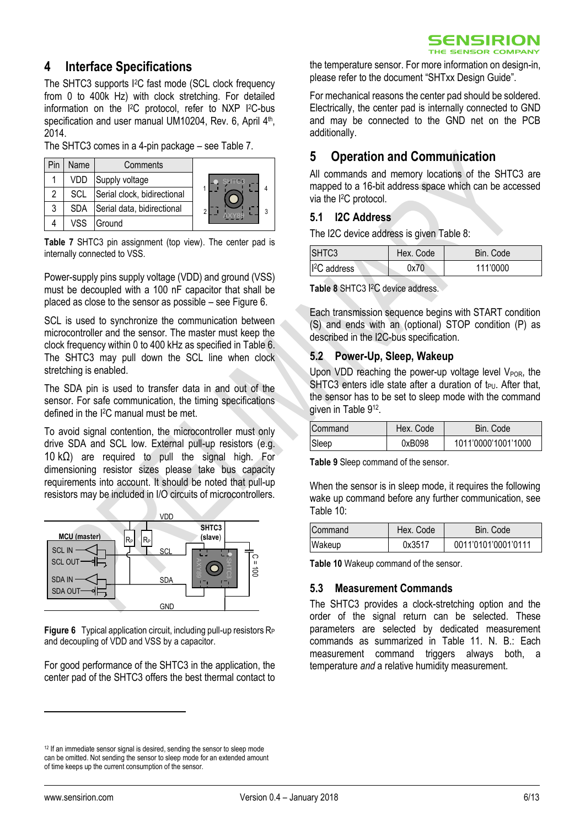### <span id="page-5-0"></span>**4 Interface Specifications**

The SHTC3 supports I2C fast mode (SCL clock frequency from 0 to 400k Hz) with clock stretching. For detailed information on the I <sup>2</sup>C protocol, refer to NXP I <sup>2</sup>C-bus specification and user manual UM10204, Rev. 6, April 4<sup>th</sup>, 2014.

The SHTC3 comes in a 4-pin package – see [Table 7.](#page-5-2)

|   | Name       | Comments                    |              |
|---|------------|-----------------------------|--------------|
|   | VDD        | Supply voltage              | <b>SHTCB</b> |
|   | SCL        | Serial clock, bidirectional |              |
| 3 | <b>SDA</b> | Serial data, bidirectional  |              |
|   | VSS        | Ground                      |              |

<span id="page-5-2"></span>**Table 7** SHTC3 pin assignment (top view). The center pad is internally connected to VSS.

Power-supply pins supply voltage (VDD) and ground (VSS) must be decoupled with a 100 nF capacitor that shall be placed as close to the sensor as possible – see [Figure 6.](#page-5-3)

SCL is used to synchronize the communication between microcontroller and the sensor. The master must keep the clock frequency within 0 to 400 kHz as specified i[n Table 6.](#page-4-0) The SHTC3 may pull down the SCL line when clock stretching is enabled.

The SDA pin is used to transfer data in and out of the sensor. For safe communication, the timing specifications defined in the I <sup>2</sup>C manual must be met.

To avoid signal contention, the microcontroller must only drive SDA and SCL low. External pull-up resistors (e.g. 10 kΩ) are required to pull the signal high. For dimensioning resistor sizes please take bus capacity requirements into account. It should be noted that pull-up resistors may be included in I/O circuits of microcontrollers.



<span id="page-5-3"></span>**Figure 6** Typical application circuit, including pull-up resistors R<sub>P</sub> and decoupling of VDD and VSS by a capacitor.

For good performance of the SHTC3 in the application, the center pad of the SHTC3 offers the best thermal contact to the temperature sensor. For more information on design-in, please refer to the document "SHTxx Design Guide".

For mechanical reasons the center pad should be soldered. Electrically, the center pad is internally connected to GND and may be connected to the GND net on the PCB additionally.

### <span id="page-5-1"></span>**5 Operation and Communication**

All commands and memory locations of the SHTC3 are mapped to a 16-bit address space which can be accessed via the I <sup>2</sup>C protocol.

#### **5.1 I2C Address**

The I2C device address is given [Table 8:](#page-5-4)

| <b>ISHTC3</b>          | Hex. Code | Bin. Code |  |  |
|------------------------|-----------|-----------|--|--|
| <sup>2</sup> C address | 0x70      | 111'0000  |  |  |

<span id="page-5-4"></span>**Table 8** SHTC3 I <sup>2</sup>C device address.

Each transmission sequence begins with START condition (S) and ends with an (optional) STOP condition (P) as described in the I2C-bus specification.

#### **5.2 Power-Up, Sleep, Wakeup**

Upon VDD reaching the power-up voltage level  $V_{POR}$ , the SHTC3 enters idle state after a duration of  $t_{PU}$ . After that, the sensor has to be set to sleep mode with the command given in [Table 9](#page-5-5)<sup>12</sup>.

| Command | Hex. Code | Bin. Code           |
|---------|-----------|---------------------|
| Sleep   | 0xB098    | 1011'0000'1001'1000 |

<span id="page-5-5"></span>**Table 9** Sleep command of the sensor.

When the sensor is in sleep mode, it requires the following wake up command before any further communication, see [Table 10:](#page-5-6)

| Command | Hex. Code | Bin. Code           |
|---------|-----------|---------------------|
| Wakeup  | 0x3517    | 0011'0101'0001'0111 |

<span id="page-5-6"></span>**Table 10** Wakeup command of the sensor.

#### **5.3 Measurement Commands**

The SHTC3 provides a clock-stretching option and the order of the signal return can be selected. These parameters are selected by dedicated measurement commands as summarized in [Table](#page-6-0) 11. N. B.: Each measurement command triggers always both, a temperature *and* a relative humidity measurement.

<sup>&</sup>lt;sup>12</sup> If an immediate sensor signal is desired, sending the sensor to sleep mode can be omitted. Not sending the sensor to sleep mode for an extended amount of time keeps up the current consumption of the sensor.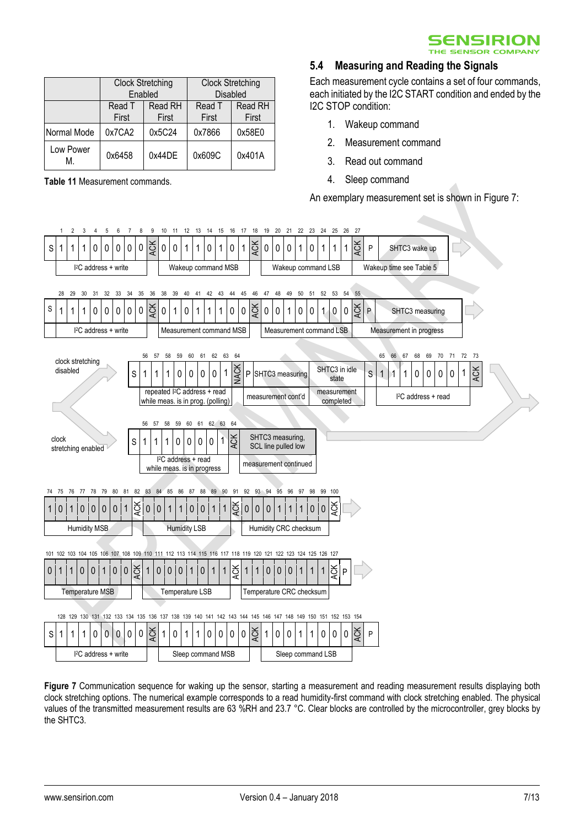

|                 | <b>Clock Stretching</b> | Enabled          | <b>Clock Stretching</b><br><b>Disabled</b> |                  |  |
|-----------------|-------------------------|------------------|--------------------------------------------|------------------|--|
|                 | Read T<br>First         | Read RH<br>First | Read T<br>First                            | Read RH<br>First |  |
| Normal Mode     | 0x7CA2                  | 0x5C24           | 0x7866                                     | 0x58E0           |  |
| Low Power<br>М. | 0x44DE<br>0x6458        |                  | 0x609C                                     | 0x401A           |  |

<span id="page-6-0"></span>**Table 11** Measurement commands.

#### **5.4 Measuring and Reading the Signals**

Each measurement cycle contains a set of four commands, each initiated by the I2C START condition and ended by the I2C STOP condition:

- 1. Wakeup command
- 2. Measurement command
- 3. Read out command
- 4. Sleep command

An exemplary measurement set is shown in Figure 7:



**Figure 7** Communication sequence for waking up the sensor, starting a measurement and reading measurement results displaying both clock stretching options. The numerical example corresponds to a read humidity-first command with clock stretching enabled. The physical values of the transmitted measurement results are 63 %RH and 23.7 °C. Clear blocks are controlled by the microcontroller, grey blocks by the SHTC3.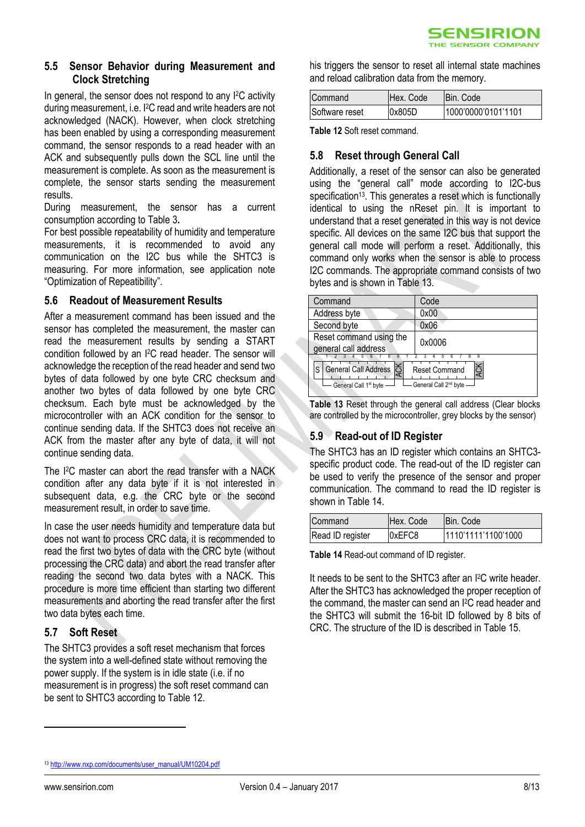#### **5.5 Sensor Behavior during Measurement and Clock Stretching**

In general, the sensor does not respond to any I <sup>2</sup>C activity during measurement, i.e. I <sup>2</sup>C read and write headers are not acknowledged (NACK). However, when clock stretching has been enabled by using a corresponding measurement command, the sensor responds to a read header with an ACK and subsequently pulls down the SCL line until the measurement is complete. As soon as the measurement is complete, the sensor starts sending the measurement results.

During measurement, the sensor has a current consumption according to [Table 3](#page-2-2)**.**

For best possible repeatability of humidity and temperature measurements, it is recommended to avoid any communication on the I2C bus while the SHTC3 is measuring. For more information, see application note "Optimization of Repeatibility".

#### **5.6 Readout of Measurement Results**

After a measurement command has been issued and the sensor has completed the measurement, the master can read the measurement results by sending a START condition followed by an I <sup>2</sup>C read header. The sensor will acknowledge the reception of the read header and send two bytes of data followed by one byte CRC checksum and another two bytes of data followed by one byte CRC checksum. Each byte must be acknowledged by the microcontroller with an ACK condition for the sensor to continue sending data. If the SHTC3 does not receive an ACK from the master after any byte of data, it will not continue sending data.

The I <sup>2</sup>C master can abort the read transfer with a NACK condition after any data byte if it is not interested in subsequent data, e.g. the CRC byte or the second measurement result, in order to save time.

In case the user needs humidity and temperature data but does not want to process CRC data, it is recommended to read the first two bytes of data with the CRC byte (without processing the CRC data) and abort the read transfer after reading the second two data bytes with a NACK. This procedure is more time efficient than starting two different measurements and aborting the read transfer after the first two data bytes each time.

#### **5.7 Soft Reset**

The SHTC3 provides a soft reset mechanism that forces the system into a well-defined state without removing the power supply. If the system is in idle state (i.e. if no measurement is in progress) the soft reset command can be sent to SHTC3 according to [Table 12.](#page-7-0)

his triggers the sensor to reset all internal state machines and reload calibration data from the memory.

| Command        | IHex. Code | IBin. Code          |
|----------------|------------|---------------------|
| Software reset | 0x805D     | 1000'0000'0101'1101 |

<span id="page-7-0"></span>**Table 12** Soft reset command.

#### **5.8 Reset through General Call**

Additionally, a reset of the sensor can also be generated using the "general call" mode according to I2C-bus specification<sup>13</sup>. This generates a reset which is functionally identical to using the nReset pin. It is important to understand that a reset generated in this way is not device specific. All devices on the same I2C bus that support the general call mode will perform a reset. Additionally, this command only works when the sensor is able to process I2C commands. The appropriate command consists of two bytes and is shown in [Table 13.](#page-7-1)

| Command                                                                                                                         | Code   |  |
|---------------------------------------------------------------------------------------------------------------------------------|--------|--|
| Address byte                                                                                                                    | 0x00   |  |
| Second byte                                                                                                                     | 0x06   |  |
| Reset command using the<br>general call address                                                                                 | 0x0006 |  |
| General Call Address S<br>S<br><b>Reset Command</b><br>General Call 2 <sup>nd</sup> byte -<br>General Call 1 <sup>st</sup> byte |        |  |

<span id="page-7-1"></span>**Table 13** Reset through the general call address (Clear blocks are controlled by the microcontroller, grey blocks by the sensor)

#### **5.9 Read-out of ID Register**

The SHTC3 has an ID register which contains an SHTC3 specific product code. The read-out of the ID register can be used to verify the presence of the sensor and proper communication. The command to read the ID register is shown i[n Table 14.](#page-7-2)

| Command          | Hex. Code | <b>IBin. Code</b>   |
|------------------|-----------|---------------------|
| Read ID register | 0xEFC8    | 1110'1111'1100'1000 |

<span id="page-7-2"></span>**Table 14** Read-out command of ID register.

It needs to be sent to the SHTC3 after an I2C write header. After the SHTC3 has acknowledged the proper reception of the command, the master can send an I2C read header and the SHTC3 will submit the 16-bit ID followed by 8 bits of CRC. The structure of the ID is described in [Table 15.](#page-8-3)

<sup>13</sup> [http://www.nxp.com/documents/user\\_manual/UM10204.pdf](http://www.nxp.com/documents/user_manual/UM10204.pdf)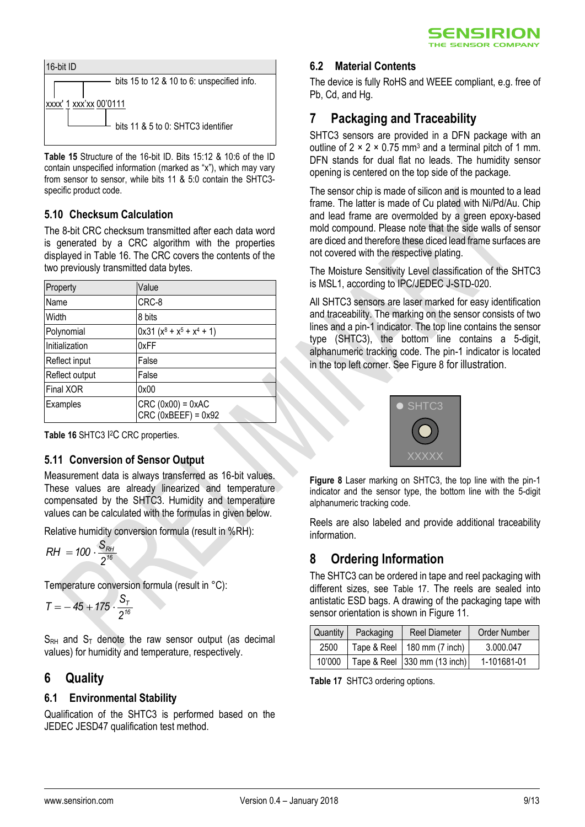



<span id="page-8-3"></span>**Table 15** Structure of the 16-bit ID. Bits 15:12 & 10:6 of the ID contain unspecified information (marked as "x"), which may vary from sensor to sensor, while bits 11 & 5:0 contain the SHTC3 specific product code.

#### **5.10 Checksum Calculation**

The 8-bit CRC checksum transmitted after each data word is generated by a CRC algorithm with the properties displayed in [Table 16.](#page-8-4) The CRC covers the contents of the two previously transmitted data bytes.

| Property       | Value                                        |
|----------------|----------------------------------------------|
| Name           | CRC-8                                        |
| Width          | 8 bits                                       |
| Polynomial     | $0x31 (x8 + x5 + x4 + 1)$                    |
| Initialization | 0xFF                                         |
| Reflect input  | False                                        |
| Reflect output | False                                        |
| Final XOR      | 0x00                                         |
| Examples       | $CRC (0x00) = 0xAC$<br>$CRC$ (0xBEEF) = 0x92 |

<span id="page-8-4"></span>**Table 16** SHTC3 I <sup>2</sup>C CRC properties.

#### **5.11 Conversion of Sensor Output**

Measurement data is always transferred as 16-bit values. These values are already linearized and temperature compensated by the SHTC3. Humidity and temperature values can be calculated with the formulas in given below.

Relative humidity conversion formula (result in %RH):

$$
RH = 100 \cdot \frac{S_{RH}}{2^{16}}
$$

Temperature conversion formula (result in °C):

$$
T = -45 + 175 \cdot \frac{S_T}{2^{16}}
$$

 $S_{RH}$  and  $S_T$  denote the raw sensor output (as decimal values) for humidity and temperature, respectively.

### <span id="page-8-0"></span>**6 Quality**

#### **6.1 Environmental Stability**

Qualification of the SHTC3 is performed based on the JEDEC JESD47 qualification test method.

#### **6.2 Material Contents**

The device is fully RoHS and WEEE compliant, e.g. free of Pb, Cd, and Hg.

# <span id="page-8-1"></span>**7 Packaging and Traceability**

SHTC3 sensors are provided in a DFN package with an outline of  $2 \times 2 \times 0.75$  mm<sup>3</sup> and a terminal pitch of 1 mm. DFN stands for dual flat no leads. The humidity sensor opening is centered on the top side of the package.

The sensor chip is made of silicon and is mounted to a lead frame. The latter is made of Cu plated with Ni/Pd/Au. Chip and lead frame are overmolded by a green epoxy-based mold compound. Please note that the side walls of sensor are diced and therefore these diced lead frame surfaces are not covered with the respective plating.

The Moisture Sensitivity Level classification of the SHTC3 is MSL1, according to IPC/JEDEC J-STD-020.

All SHTC3 sensors are laser marked for easy identification and traceability. The marking on the sensor consists of two lines and a pin-1 indicator. The top line contains the sensor type (SHTC3), the bottom line contains a 5-digit, alphanumeric tracking code. The pin-1 indicator is located in the top left corner. Se[e Figure 8](#page-8-5) for illustration.



<span id="page-8-5"></span>**Figure 8** Laser marking on SHTC3, the top line with the pin-1 indicator and the sensor type, the bottom line with the 5-digit alphanumeric tracking code.

Reels are also labeled and provide additional traceability information.

# <span id="page-8-2"></span>**8 Ordering Information**

The SHTC3 can be ordered in tape and reel packaging with different sizes, see [Table 17](#page-8-6). The reels are sealed into antistatic ESD bags. A drawing of the packaging tape with sensor orientation is shown i[n Figure 11.](#page-10-1)

| Quantity | Packaging | <b>Reel Diameter</b>          | Order Number |
|----------|-----------|-------------------------------|--------------|
| 2500     |           | Tape & Reel   180 mm (7 inch) | 3.000.047    |
| 10'000   |           | Tape & Reel 330 mm (13 inch)  | 1-101681-01  |

<span id="page-8-6"></span>**Table 17** SHTC3 ordering options.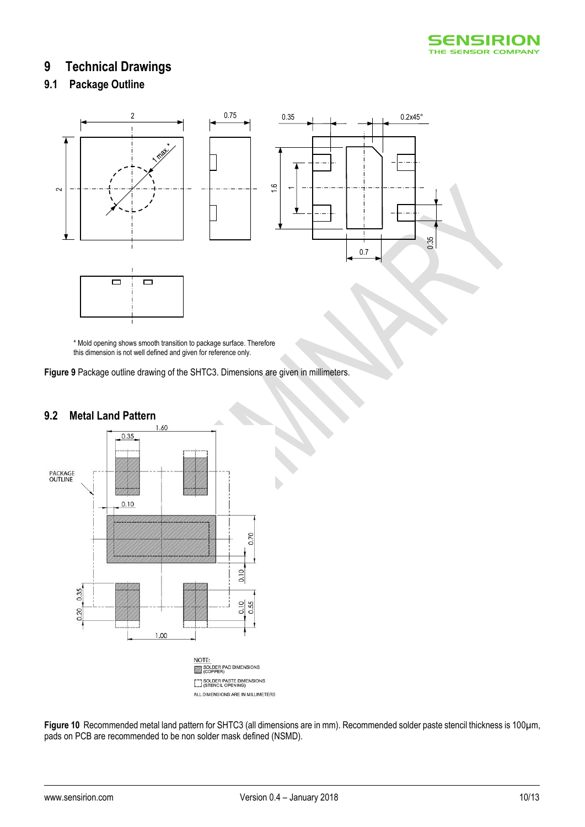

### <span id="page-9-0"></span>**9 Technical Drawings**

### **9.1 Package Outline**



\* Mold opening shows smooth transition to package surface. Therefore this dimension is not well defined and given for reference only.

**Figure 9** Package outline drawing of the SHTC3. Dimensions are given in millimeters.



**9.2 Metal Land Pattern**

**Figure 10** Recommended metal land pattern for SHTC3 (all dimensions are in mm). Recommended solder paste stencil thickness is 100µm, pads on PCB are recommended to be non solder mask defined (NSMD).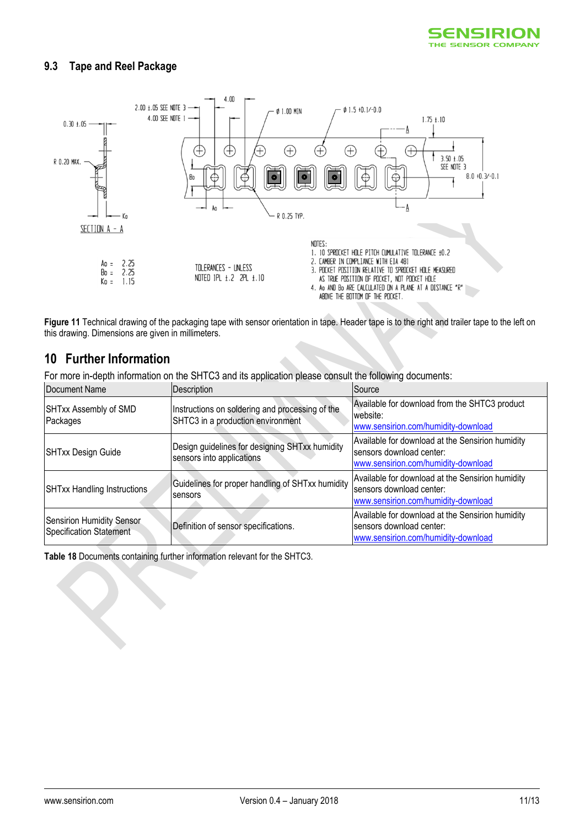

#### **9.3 Tape and Reel Package**



<span id="page-10-1"></span>**Figure 11** Technical drawing of the packaging tape with sensor orientation in tape. Header tape is to the right and trailer tape to the left on this drawing. Dimensions are given in millimeters.

### <span id="page-10-0"></span>**10 Further Information**

For more in-depth information on the SHTC3 and its application please consult the following documents:

| Document Name                                        | Description                                                                          | Source                                                                                                              |
|------------------------------------------------------|--------------------------------------------------------------------------------------|---------------------------------------------------------------------------------------------------------------------|
| SHTxx Assembly of SMD<br>Packages                    | Instructions on soldering and processing of the<br>SHTC3 in a production environment | Available for download from the SHTC3 product<br>website:<br>www.sensirion.com/humidity-download                    |
| <b>SHTxx Design Guide</b>                            | Design guidelines for designing SHTxx humidity<br>sensors into applications          | Available for download at the Sensirion humidity<br>sensors download center:<br>www.sensirion.com/humidity-download |
| SHTxx Handling Instructions                          | Guidelines for proper handling of SHTxx humidity<br>sensors                          | Available for download at the Sensirion humidity<br>sensors download center:<br>www.sensirion.com/humidity-download |
| Sensirion Humidity Sensor<br>Specification Statement | Definition of sensor specifications.                                                 | Available for download at the Sensirion humidity<br>sensors download center:<br>www.sensirion.com/humidity-download |

**Table 18** Documents containing further information relevant for the SHTC3.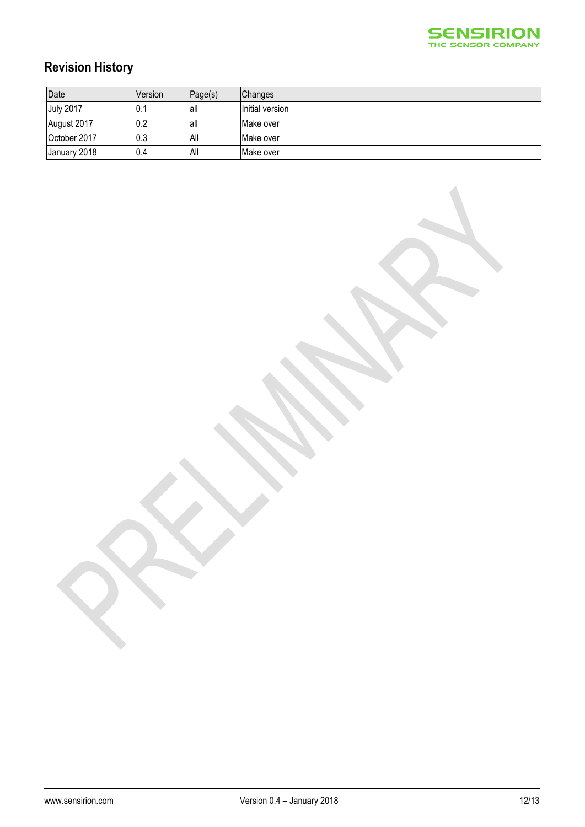

# **Revision History**

| Date             | <b>Version</b> | Page(s) | Changes         |
|------------------|----------------|---------|-----------------|
| <b>July 2017</b> | IO.1           | lall    | Initial version |
| August 2017      | 0.2            | lall    | Make over       |
| October 2017     | 0.3            | All     | Make over       |
| January 2018     | 0.4            | All     | Make over       |